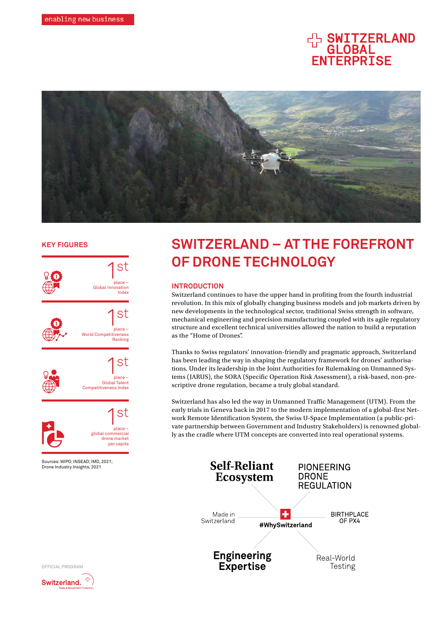# HA SWITZERLAND ENTERPRISE



# **KEY FIGURES**



**SWITZERLAND – AT THE FOREFRONT OF DRONE TECHNOLOGY**

# **INTRODUCTION**

Switzerland continues to have the upper hand in profiting from the fourth industrial revolution. In this mix of globally changing business models and job markets driven by new developments in the technological sector, traditional Swiss strength in software, mechanical engineering and precision manufacturing coupled with its agile regulatory structure and excellent technical universities allowed the nation to build a reputation as the "Home of Drones".

Thanks to Swiss regulators' innovation-friendly and pragmatic approach, Switzerland has been leading the way in shaping the regulatory framework for drones' authorisations. Under its leadership in the Joint Authorities for Rulemaking on Unmanned Systems (JARUS), the SORA (Specific Operation Risk Assessment), a risk-based, non-prescriptive drone regulation, became a truly global standard.

Switzerland has also led the way in Unmanned Traffic Management (UTM). From the early trials in Geneva back in 2017 to the modern implementation of a global-first Network Remote Identification System, the Swiss U-Space Implementation (a public-private partnership between Government and Industry Stakeholders) is renowned globally as the cradle where UTM concepts are converted into real operational systems.





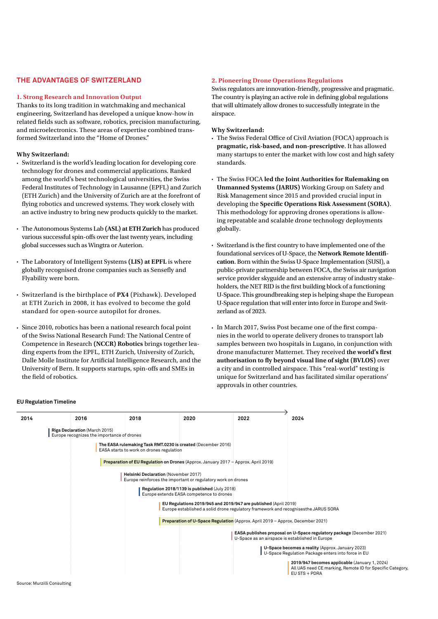# **THE ADVANTAGES OF SWITZERLAND**

## **1. Strong Research and Innovation Output**

Thanks to its long tradition in watchmaking and mechanical engineering, Switzerland has developed a unique know-how in related fields such as software, robotics, precision manufacturing, and microelectronics. These areas of expertise combined transformed Switzerland into the "Home of Drones."

#### **Why Switzerland:**

- Switzerland is the world's leading location for developing core technology for drones and commercial applications. Ranked among the world's best technological universities, the Swiss Federal Institutes of Technology in Lausanne (EPFL) and Zurich (ETH Zurich) and the University of Zurich are at the forefront of flying robotics and uncrewed systems. They work closely with an active industry to bring new products quickly to the market.
- The Autonomous Systems Lab **(ASL) at ETH Zurich** has produced various successful spin-offs over the last twenty years, including global successes such as Wingtra or Auterion.
- The Laboratory of Intelligent Systems **(LIS) at EPFL** is where globally recognised drone companies such as Sensefly and Flyability were born.
- Switzerland is the birthplace of **PX4** (Pixhawk). Developed at ETH Zurich in 2008, it has evolved to become the gold standard for open-source autopilot for drones.
- Since 2010, robotics has been a national research focal point of the Swiss National Research Fund: The National Centre of Competence in Research **(NCCR) Robotics** brings together leading experts from the EPFL, ETH Zurich, University of Zurich, Dalle Molle Institute for Artificial Intelligence Research, and the University of Bern. It supports startups, spin-offs and SMEs in the field of robotics.

# **2. Pioneering Drone Operations Regulations**

Swiss regulators are innovation-friendly, progressive and pragmatic. The country is playing an active role in defining global regulations that will ultimately allow drones to successfully integrate in the airspace.

## **Why Switzerland:**

- The Swiss Federal Office of Civil Aviation (FOCA) approach is **pragmatic, risk-based, and non-prescriptive**. It has allowed many startups to enter the market with low cost and high safety standards.
- The Swiss FOCA **led the Joint Authorities for Rulemaking on Unmanned Systems (JARUS)** Working Group on Safety and Risk Management since 2015 and provided crucial input in developing the **Specific Operations Risk Assessment (SORA)**. This methodology for approving drones operations is allowing repeatable and scalable drone technology deployments globally.
- Switzerland is the first country to have implemented one of the foundational services of U-Space, the **Network Remote Identification**. Born within the Swiss U-Space Implementation (SUSI), a public-private partnership between FOCA, the Swiss air navigation service provider skyguide and an extensive array of industry stakeholders, the NET RID is the first building block of a functioning U-Space. This groundbreaking step is helping shape the European U-Space regulation that will enter into force in Europe and Switzerland as of 2023.
- In March 2017, Swiss Post became one of the first companies in the world to operate delivery drones to transport lab samples between two hospitals in Lugano, in conjunction with drone manufacturer Matternet. They received **the world's first authorisation to fly beyond visual line of sight (BVLOS)** over a city and in controlled airspace. This "real-world" testing is unique for Switzerland and has facilitated similar operations' approvals in other countries.

| 2014 | 2016                                                                        | 2018                                        | 2020                                                                                                                                                   | 2022                                            | 2024                                                                                                                        |
|------|-----------------------------------------------------------------------------|---------------------------------------------|--------------------------------------------------------------------------------------------------------------------------------------------------------|-------------------------------------------------|-----------------------------------------------------------------------------------------------------------------------------|
|      | Riga Declaration (March 2015)<br>Europe recognizes the importance of drones |                                             |                                                                                                                                                        |                                                 |                                                                                                                             |
|      |                                                                             | EASA starts to work on drones regulation    | The EASA rulemaking Task RMT.0230 is created (December 2016)                                                                                           |                                                 |                                                                                                                             |
|      |                                                                             |                                             | Preparation of EU Regulation on Drones (Approx. January 2017 - Approx. April 2019)                                                                     |                                                 |                                                                                                                             |
|      |                                                                             | <b>Helsinki Declaration (November 2017)</b> | Europe reinforces the important or regulatory work on drones                                                                                           |                                                 |                                                                                                                             |
|      |                                                                             |                                             | Regulation 2018/1139 is published (July 2018)<br>Europe extends EASA competence to drones                                                              |                                                 |                                                                                                                             |
|      |                                                                             |                                             | EU Regulations 2019/945 and 2019/947 are published (April 2019)<br>Europe established a solid drone regulatory framework and recognises the JARUS SORA |                                                 |                                                                                                                             |
|      |                                                                             |                                             | Preparation of U-Space Regulation (Approx. April 2019 - Approx. December 2021)                                                                         |                                                 |                                                                                                                             |
|      |                                                                             |                                             |                                                                                                                                                        | U-Space as an airspace is established in Europe | EASA publishes proposal on U-Space regulatory package (December 2021)                                                       |
|      |                                                                             |                                             |                                                                                                                                                        |                                                 | U-Space becomes a reality (Approx. January 2023)<br>U-Space Regulation Package enters into force in EU                      |
|      |                                                                             |                                             |                                                                                                                                                        |                                                 | 2019/947 becomes applicable (January 1, 2024)<br>All UAS need CE marking, Remote ID for Specific Category,<br>EU STS + PDRA |

#### **EU Regulation Timeline**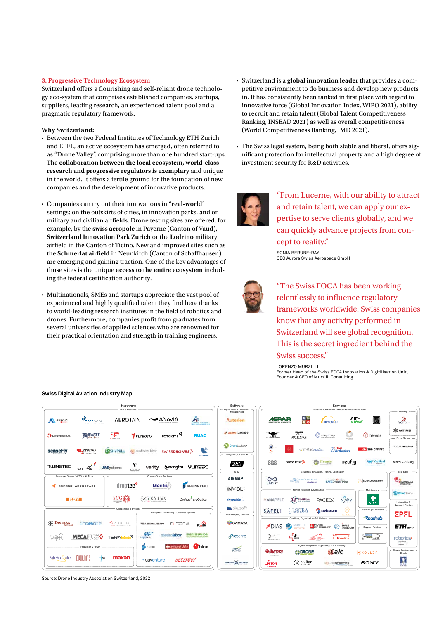# **3. Progressive Technology Ecosystem**

Switzerland offers a flourishing and self-reliant drone technology eco-system that comprises established companies, startups, suppliers, leading research, an experienced talent pool and a pragmatic regulatory framework.

# **Why Switzerland:**

- Between the two Federal Institutes of Technology ETH Zurich and EPFL, an active ecosystem has emerged, often referred to as "Drone Valley", comprising more than one hundred start-ups. The **collaboration between the local ecosystem, world-class research and progressive regulators is exemplary** and unique in the world. It offers a fertile ground for the foundation of new companies and the development of innovative products.
- Companies can try out their innovations in "**real-world**" settings: on the outskirts of cities, in innovation parks, and on military and civilian airfields. Drone testing sites are offered, for example, by the **swiss aeropole** in Payerne (Canton of Vaud), **Switzerland Innovation Park Zurich** or the **Lodrino** military airfield in the Canton of Ticino. New and improved sites such as the **Schmerlat airfield** in Neunkirch (Canton of Schaffhausen) are emerging and gaining traction. One of the key advantages of those sites is the unique **access to the entire ecosystem** including the federal certification authority.
- Multinationals, SMEs and startups appreciate the vast pool of experienced and highly qualified talent they find here thanks to world-leading research institutes in the field of robotics and drones. Furthermore, companies profit from graduates from several universities of applied sciences who are renowned for their practical orientation and strength in training engineers.

# **Swiss Digital Aviation Industry Map**

- Switzerland is a **global innovation leader** that provides a competitive environment to do business and develop new products in. It has consistently been ranked in first place with regard to innovative force (Global Innovation Index, WIPO 2021), ability to recruit and retain talent (Global Talent Competitiveness Ranking, INSEAD 2021) as well as overall competitiveness (World Competitiveness Ranking, IMD 2021).
- The Swiss legal system, being both stable and liberal, offers significant protection for intellectual property and a high degree of investment security for R&D activities.



"From Lucerne, with our ability to attract and retain talent, we can apply our expertise to serve clients globally, and we can quickly advance projects from concept to reality."

SONIA BERUBE-RAY CEO Aurora Swiss Aerospace GmbH



"The Swiss FOCA has been working relentlessly to influence regulatory frameworks worldwide. Swiss companies know that any activity performed in Switzerland will see global recognition. This is the secret ingredient behind the Swiss success."

LORENZO MURZILLI

Former Head of the Swiss FOCA Innovation & Digitilisation Unit, Founder & CEO of Murzilli Consulting



Source: Drone Industry Association Switzerland, 2022